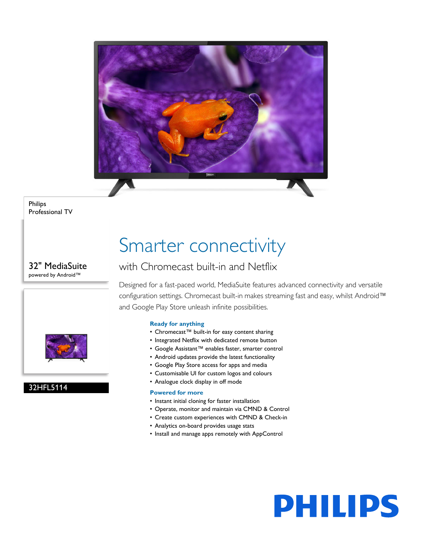

Philips Professional TV

### 32" MediaSuite powered by Android™



### 32HFL5114

## Smarter connectivity

### with Chromecast built-in and Netflix

Designed for a fast-paced world, MediaSuite features advanced connectivity and versatile configuration settings. Chromecast built-in makes streaming fast and easy, whilst Android™ and Google Play Store unleash infinite possibilities.

### **Ready for anything**

- Chromecast™ built-in for easy content sharing
- Integrated Netflix with dedicated remote button
- Google Assistant™ enables faster, smarter control
- Android updates provide the latest functionality
- Google Play Store access for apps and media
- Customisable UI for custom logos and colours
- Analogue clock display in off mode

### **Powered for more**

- Instant initial cloning for faster installation
- Operate, monitor and maintain via CMND & Control
- Create custom experiences with CMND & Check-in
- Analytics on-board provides usage stats
- Install and manage apps remotely with AppControl

# **PHILIPS**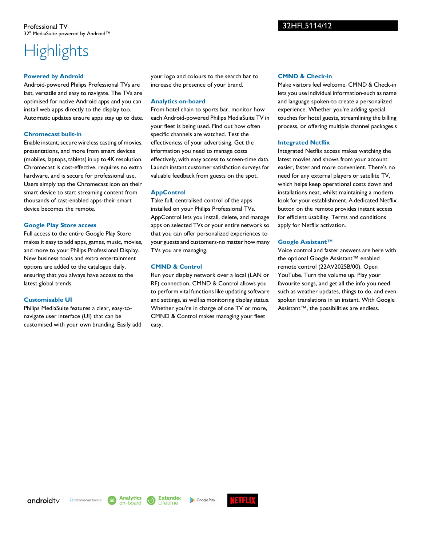### Professional TV 32" MediaSuite powered by Android™

### **Highlights**

### **Powered by Android**

Android-powered Philips Professional TVs are fast, versatile and easy to navigate. The TVs are optimised for native Android apps and you can install web apps directly to the display too. Automatic updates ensure apps stay up to date.

### **Chromecast built-in**

Enable instant, secure wireless casting of movies, presentations, and more from smart devices (mobiles, laptops, tablets) in up to 4K resolution. Chromecast is cost-effective, requires no extra hardware, and is secure for professional use. Users simply tap the Chromecast icon on their smart device to start streaming content from thousands of cast-enabled apps-their smart device becomes the remote.

#### **Google Play Store access**

Full access to the entire Google Play Store makes it easy to add apps, games, music, movies, and more to your Philips Professional Display. New business tools and extra entertainment options are added to the catalogue daily, ensuring that you always have access to the latest global trends.

### **Customisable UI**

Philips MediaSuite features a clear, easy-tonavigate user interface (UI) that can be customised with your own branding. Easily add your logo and colours to the search bar to increase the presence of your brand.

#### **Analytics on-board**

From hotel chain to sports bar, monitor how each Android-powered Philips MediaSuite TV in your fleet is being used. Find out how often specific channels are watched. Test the effectiveness of your advertising. Get the information you need to manage costs effectively, with easy access to screen-time data. Launch instant customer satisfaction surveys for valuable feedback from guests on the spot.

### **AppControl**

Take full, centralised control of the apps installed on your Philips Professional TVs. AppControl lets you install, delete, and manage apps on selected TVs or your entire network so that you can offer personalized experiences to your guests and customers-no matter how many TVs you are managing.

### **CMND & Control**

Run your display network over a local (LAN or RF) connection. CMND & Control allows you to perform vital functions like updating software and settings, as well as monitoring display status. Whether you're in charge of one TV or more, CMND & Control makes managing your fleet easy.

### **CMND & Check-in**

Make visitors feel welcome. CMND & Check-in lets you use individual information-such as name and language spoken-to create a personalized experience. Whether you're adding special touches for hotel guests, streamlining the billing process, or offering multiple channel packages.s

#### **Integrated Netflix**

Integrated Netflix access makes watching the latest movies and shows from your account easier, faster and more convenient. There's no need for any external players or satellite TV, which helps keep operational costs down and installations neat, whilst maintaining a modern look for your establishment. A dedicated Netflix button on the remote provides instant access for efficient usability. Terms and conditions apply for Netflix activation.

### **Google Assistant™**

Voice control and faster answers are here with the optional Google Assistant™ enabled remote control (22AV2025B/00). Open YouTube. Turn the volume up. Play your favourite songs, and get all the info you need such as weather updates, things to do, and even spoken translations in an instant. With Google Assistant™, the possibilities are endless.

androidty

Ohromecast built-in

**Extended** Lifetime

**Analytics** 

on-board

3114

Google Play